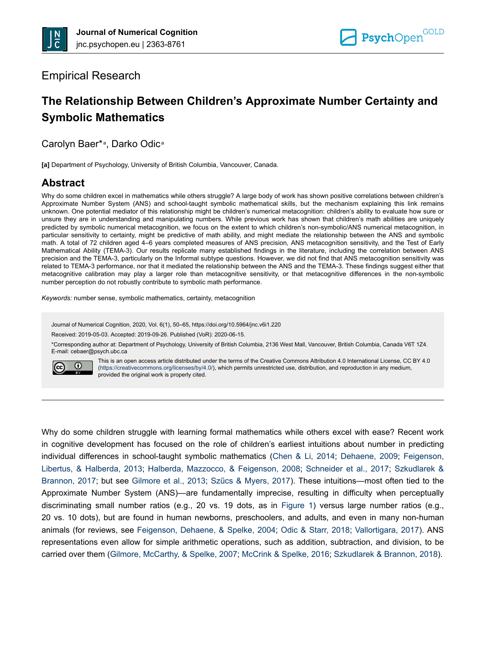## Empirical Research

# **The Relationship Between Children's Approximate Number Certainty and Symbolic Mathematics**

Carolyn Baer\*<sup>a</sup>, Darko Odic<sup>a</sup>

**[a]** Department of Psychology, University of British Columbia, Vancouver, Canada.

# **Abstract**

Why do some children excel in mathematics while others struggle? A large body of work has shown positive correlations between children's Approximate Number System (ANS) and school-taught symbolic mathematical skills, but the mechanism explaining this link remains unknown. One potential mediator of this relationship might be children's numerical metacognition: children's ability to evaluate how sure or unsure they are in understanding and manipulating numbers. While previous work has shown that children's math abilities are uniquely predicted by symbolic numerical metacognition, we focus on the extent to which children's non-symbolic/ANS numerical metacognition, in particular sensitivity to certainty, might be predictive of math ability, and might mediate the relationship between the ANS and symbolic math. A total of 72 children aged 4–6 years completed measures of ANS precision, ANS metacognition sensitivity, and the Test of Early Mathematical Ability (TEMA-3). Our results replicate many established findings in the literature, including the correlation between ANS precision and the TEMA-3, particularly on the Informal subtype questions. However, we did not find that ANS metacognition sensitivity was related to TEMA-3 performance, nor that it mediated the relationship between the ANS and the TEMA-3. These findings suggest either that metacognitive calibration may play a larger role than metacognitive sensitivity, or that metacognitive differences in the non-symbolic number perception do not robustly contribute to symbolic math performance.

*Keywords:* number sense, symbolic mathematics, certainty, metacognition

Journal of Numerical Cognition, 2020, Vol. 6(1), 50–65, https://doi.org/10.5964/jnc.v6i1.220

Received: 2019-05-03. Accepted: 2019-09-26. Published (VoR): 2020-06-15.

\*Corresponding author at: Department of Psychology, University of British Columbia, 2136 West Mall, Vancouver, British Columbia, Canada V6T 1Z4. E-mail: cebaer@psych.ubc.ca



This is an open access article distributed under the terms of the Creative Commons Attribution 4.0 International License, CC BY 4.0 ([https://creativecommons.org/licenses/by/4.0/\)](https://creativecommons.org/licenses/by/4.0/), which permits unrestricted use, distribution, and reproduction in any medium, provided the original work is properly cited.

Why do some children struggle with learning formal mathematics while others excel with ease? Recent work in cognitive development has focused on the role of children's earliest intuitions about number in predicting individual differences in school-taught symbolic mathematics [\(Chen & Li, 2014;](#page-12-0) [Dehaene, 2009;](#page-12-0) [Feigenson,](#page-12-0) [Libertus, & Halberda, 2013](#page-12-0); [Halberda, Mazzocco, & Feigenson, 2008](#page-13-0); [Schneider et al., 2017;](#page-14-0) [Szkudlarek &](#page-14-0) [Brannon, 2017;](#page-14-0) but see [Gilmore et al., 2013;](#page-12-0) [Szűcs & Myers, 2017\)](#page-15-0). These intuitions—most often tied to the Approximate Number System (ANS)—are fundamentally imprecise, resulting in difficulty when perceptually discriminating small number ratios (e.g., 20 vs. 19 dots, as in [Figure 1\)](#page-4-0) versus large number ratios (e.g., 20 vs. 10 dots), but are found in human newborns, preschoolers, and adults, and even in many non-human animals (for reviews, see [Feigenson, Dehaene, & Spelke, 2004;](#page-12-0) [Odic & Starr, 2018;](#page-14-0) [Vallortigara, 2017\)](#page-15-0). ANS representations even allow for simple arithmetic operations, such as addition, subtraction, and division, to be carried over them ([Gilmore, McCarthy, & Spelke, 2007; McCrink & Spelke, 2016;](#page-13-0) [Szkudlarek & Brannon, 2018\)](#page-14-0).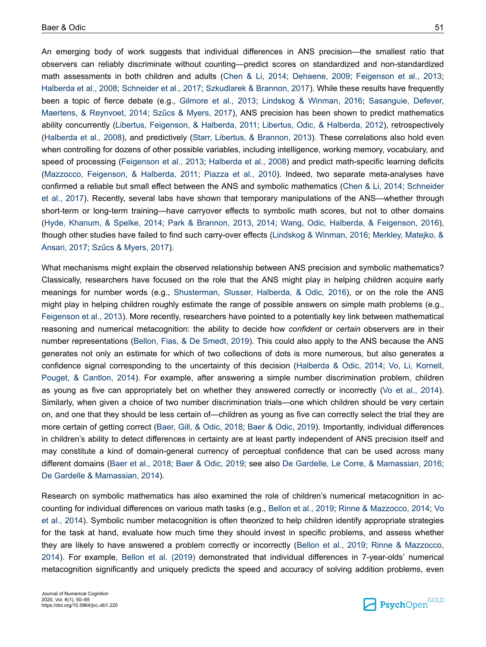An emerging body of work suggests that individual differences in ANS precision—the smallest ratio that observers can reliably discriminate without counting—predict scores on standardized and non-standardized math assessments in both children and adults ([Chen & Li, 2014](#page-12-0); [Dehaene, 2009](#page-12-0); [Feigenson et al., 2013](#page-12-0); [Halberda et al., 2008;](#page-13-0) [Schneider et al., 2017; Szkudlarek & Brannon, 2017\)](#page-14-0). While these results have frequently been a topic of fierce debate (e.g., [Gilmore et al., 2013;](#page-12-0) [Lindskog & Winman, 2016](#page-13-0); [Sasanguie, Defever,](#page-14-0) [Maertens, & Reynvoet, 2014;](#page-14-0) [Szűcs & Myers, 2017\)](#page-15-0), ANS precision has been shown to predict mathematics ability concurrently ([Libertus, Feigenson, & Halberda, 2011](#page-13-0); [Libertus, Odic, & Halberda, 2012](#page-13-0)), retrospectively [\(Halberda et al., 2008](#page-13-0)), and predictively [\(Starr, Libertus, & Brannon, 2013](#page-14-0)). These correlations also hold even when controlling for dozens of other possible variables, including intelligence, working memory, vocabulary, and speed of processing ([Feigenson et al., 2013;](#page-12-0) [Halberda et al., 2008](#page-13-0)) and predict math-specific learning deficits [\(Mazzocco, Feigenson, & Halberda, 2011;](#page-13-0) [Piazza et al., 2010](#page-14-0)). Indeed, two separate meta-analyses have confirmed a reliable but small effect between the ANS and symbolic mathematics [\(Chen & Li, 2014](#page-12-0); [Schneider](#page-14-0) [et al., 2017\)](#page-14-0). Recently, several labs have shown that temporary manipulations of the ANS—whether through short-term or long-term training—have carryover effects to symbolic math scores, but not to other domains [\(Hyde, Khanum, & Spelke, 2014](#page-13-0); [Park & Brannon, 2013](#page-14-0), [2014](#page-14-0); [Wang, Odic, Halberda, & Feigenson, 2016](#page-15-0)), though other studies have failed to find such carry-over effects [\(Lindskog & Winman, 2016](#page-13-0); [Merkley, Matejko, &](#page-13-0) [Ansari, 2017](#page-13-0); [Szűcs & Myers, 2017](#page-15-0)).

What mechanisms might explain the observed relationship between ANS precision and symbolic mathematics? Classically, researchers have focused on the role that the ANS might play in helping children acquire early meanings for number words (e.g., [Shusterman, Slusser, Halberda, & Odic, 2016\)](#page-14-0), or on the role the ANS might play in helping children roughly estimate the range of possible answers on simple math problems (e.g., [Feigenson et al., 2013](#page-12-0)). More recently, researchers have pointed to a potentially key link between mathematical reasoning and numerical metacognition: the ability to decide how *confident* or *certain* observers are in their number representations ([Bellon, Fias, & De Smedt, 2019\)](#page-12-0). This could also apply to the ANS because the ANS generates not only an estimate for which of two collections of dots is more numerous, but also generates a confidence signal corresponding to the uncertainty of this decision [\(Halberda & Odic, 2014](#page-13-0); [Vo, Li, Kornell,](#page-15-0) [Pouget, & Cantlon, 2014\)](#page-15-0). For example, after answering a simple number discrimination problem, children as young as five can appropriately bet on whether they answered correctly or incorrectly [\(Vo et al., 2014](#page-15-0)). Similarly, when given a choice of two number discrimination trials—one which children should be very certain on, and one that they should be less certain of—children as young as five can correctly select the trial they are more certain of getting correct [\(Baer, Gill, & Odic, 2018;](#page-12-0) [Baer & Odic, 2019\)](#page-12-0). Importantly, individual differences in children's ability to detect differences in certainty are at least partly independent of ANS precision itself and may constitute a kind of domain-general currency of perceptual confidence that can be used across many different domains ([Baer et al., 2018;](#page-12-0) [Baer & Odic, 2019](#page-12-0); see also [De Gardelle, Le Corre, & Mamassian, 2016](#page-12-0); [De Gardelle & Mamassian, 2014\)](#page-12-0).

Research on symbolic mathematics has also examined the role of children's numerical metacognition in accounting for individual differences on various math tasks (e.g., [Bellon et al., 2019;](#page-12-0) [Rinne & Mazzocco, 2014;](#page-14-0) [Vo](#page-15-0) [et al., 2014\)](#page-15-0). Symbolic number metacognition is often theorized to help children identify appropriate strategies for the task at hand, evaluate how much time they should invest in specific problems, and assess whether they are likely to have answered a problem correctly or incorrectly ([Bellon et al., 2019](#page-12-0); [Rinne & Mazzocco,](#page-14-0) [2014](#page-14-0)). For example, [Bellon et al. \(2019\)](#page-12-0) demonstrated that individual differences in 7-year-olds' numerical metacognition significantly and uniquely predicts the speed and accuracy of solving addition problems, even

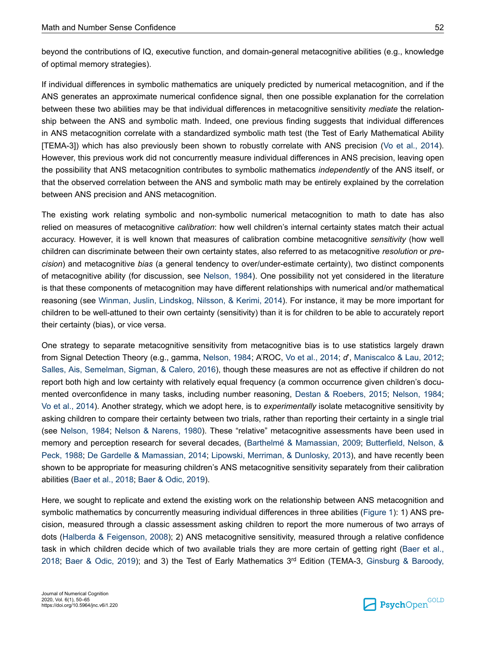beyond the contributions of IQ, executive function, and domain-general metacognitive abilities (e.g., knowledge of optimal memory strategies).

If individual differences in symbolic mathematics are uniquely predicted by numerical metacognition, and if the ANS generates an approximate numerical confidence signal, then one possible explanation for the correlation between these two abilities may be that individual differences in metacognitive sensitivity *mediate* the relationship between the ANS and symbolic math. Indeed, one previous finding suggests that individual differences in ANS metacognition correlate with a standardized symbolic math test (the Test of Early Mathematical Ability [TEMA-3]) which has also previously been shown to robustly correlate with ANS precision [\(Vo et al., 2014](#page-15-0)). However, this previous work did not concurrently measure individual differences in ANS precision, leaving open the possibility that ANS metacognition contributes to symbolic mathematics *independently* of the ANS itself, or that the observed correlation between the ANS and symbolic math may be entirely explained by the correlation between ANS precision and ANS metacognition.

The existing work relating symbolic and non-symbolic numerical metacognition to math to date has also relied on measures of metacognitive *calibration*: how well children's internal certainty states match their actual accuracy. However, it is well known that measures of calibration combine metacognitive *sensitivity* (how well children can discriminate between their own certainty states, also referred to as metacognitive *resolution* or *precision*) and metacognitive *bias* (a general tendency to over/under-estimate certainty), two distinct components of metacognitive ability (for discussion, see [Nelson, 1984](#page-14-0)). One possibility not yet considered in the literature is that these components of metacognition may have different relationships with numerical and/or mathematical reasoning (see [Winman, Juslin, Lindskog, Nilsson, & Kerimi, 2014](#page-15-0)). For instance, it may be more important for children to be well-attuned to their own certainty (sensitivity) than it is for children to be able to accurately report their certainty (bias), or vice versa.

One strategy to separate metacognitive sensitivity from metacognitive bias is to use statistics largely drawn from Signal Detection Theory (e.g., gamma, [Nelson, 1984](#page-14-0); A'ROC, [Vo et al., 2014;](#page-15-0) *d*', [Maniscalco & Lau, 2012](#page-13-0); [Salles, Ais, Semelman, Sigman, & Calero, 2016](#page-14-0)), though these measures are not as effective if children do not report both high and low certainty with relatively equal frequency (a common occurrence given children's documented overconfidence in many tasks, including number reasoning, [Destan & Roebers, 2015;](#page-12-0) [Nelson, 1984](#page-14-0); [Vo et al., 2014\)](#page-15-0). Another strategy, which we adopt here, is to *experimentally* isolate metacognitive sensitivity by asking children to compare their certainty between two trials, rather than reporting their certainty in a single trial (see [Nelson, 1984](#page-14-0); [Nelson & Narens, 1980](#page-14-0)). These "relative" metacognitive assessments have been used in memory and perception research for several decades, ([Barthelmé & Mamassian, 2009](#page-12-0); [Butterfield, Nelson, &](#page-12-0) [Peck, 1988](#page-12-0); [De Gardelle & Mamassian, 2014](#page-12-0); [Lipowski, Merriman, & Dunlosky, 2013\)](#page-13-0), and have recently been shown to be appropriate for measuring children's ANS metacognitive sensitivity separately from their calibration abilities [\(Baer et al., 2018; Baer & Odic, 2019](#page-12-0)).

Here, we sought to replicate and extend the existing work on the relationship between ANS metacognition and symbolic mathematics by concurrently measuring individual differences in three abilities [\(Figure 1](#page-4-0)): 1) ANS precision, measured through a classic assessment asking children to report the more numerous of two arrays of dots ([Halberda & Feigenson, 2008](#page-13-0)); 2) ANS metacognitive sensitivity, measured through a relative confidence task in which children decide which of two available trials they are more certain of getting right [\(Baer et al.,](#page-12-0) [2018](#page-12-0); [Baer & Odic, 2019](#page-12-0)); and 3) the Test of Early Mathematics 3<sup>rd</sup> Edition (TEMA-3, [Ginsburg & Baroody,](#page-13-0)

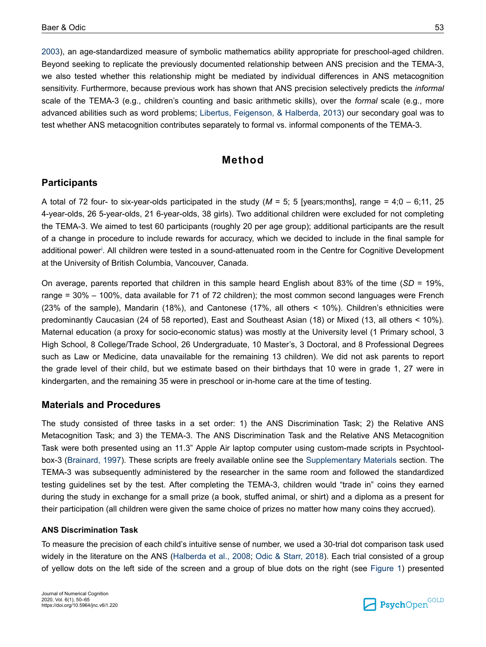[2003](#page-13-0)), an age-standardized measure of symbolic mathematics ability appropriate for preschool-aged children. Beyond seeking to replicate the previously documented relationship between ANS precision and the TEMA-3, we also tested whether this relationship might be mediated by individual differences in ANS metacognition sensitivity. Furthermore, because previous work has shown that ANS precision selectively predicts the *informal* scale of the TEMA-3 (e.g., children's counting and basic arithmetic skills), over the *formal* scale (e.g., more advanced abilities such as word problems; [Libertus, Feigenson, & Halberda, 2013\)](#page-13-0) our secondary goal was to test whether ANS metacognition contributes separately to formal vs. informal components of the TEMA-3.

### **Method**

### **Participants**

A total of 72 four- to six-year-olds participated in the study ( $M = 5$ ; 5 [years;months], range = 4;0 – 6;11, 25 4-year-olds, 26 5-year-olds, 21 6-year-olds, 38 girls). Two additional children were excluded for not completing the TEMA-3. We aimed to test 60 participants (roughly 20 per age group); additional participants are the result of a change in procedure to include rewards for accuracy, which we decided to include in the final sample for add[i](#page-11-0)tional power<sup>i</sup>. All children were tested in a sound-attenuated room in the Centre for Cognitive Development at the University of British Columbia, Vancouver, Canada.

On average, parents reported that children in this sample heard English about 83% of the time (*SD* = 19%, range = 30% – 100%, data available for 71 of 72 children); the most common second languages were French (23% of the sample), Mandarin (18%), and Cantonese (17%, all others < 10%). Children's ethnicities were predominantly Caucasian (24 of 58 reported), East and Southeast Asian (18) or Mixed (13, all others < 10%). Maternal education (a proxy for socio-economic status) was mostly at the University level (1 Primary school, 3 High School, 8 College/Trade School, 26 Undergraduate, 10 Master's, 3 Doctoral, and 8 Professional Degrees such as Law or Medicine, data unavailable for the remaining 13 children). We did not ask parents to report the grade level of their child, but we estimate based on their birthdays that 10 were in grade 1, 27 were in kindergarten, and the remaining 35 were in preschool or in-home care at the time of testing.

### **Materials and Procedures**

The study consisted of three tasks in a set order: 1) the ANS Discrimination Task; 2) the Relative ANS Metacognition Task; and 3) the TEMA-3. The ANS Discrimination Task and the Relative ANS Metacognition Task were both presented using an 11.3" Apple Air laptop computer using custom-made scripts in Psychtoolbox-3 ([Brainard, 1997\)](#page-12-0). These scripts are freely available online see the [Supplementary Materials](#page-11-0) section. The TEMA-3 was subsequently administered by the researcher in the same room and followed the standardized testing guidelines set by the test. After completing the TEMA-3, children would "trade in" coins they earned during the study in exchange for a small prize (a book, stuffed animal, or shirt) and a diploma as a present for their participation (all children were given the same choice of prizes no matter how many coins they accrued).

#### **ANS Discrimination Task**

To measure the precision of each child's intuitive sense of number, we used a 30-trial dot comparison task used widely in the literature on the ANS [\(Halberda et al., 2008](#page-13-0); [Odic & Starr, 2018\)](#page-14-0). Each trial consisted of a group of yellow dots on the left side of the screen and a group of blue dots on the right (see [Figure 1](#page-4-0)) presented

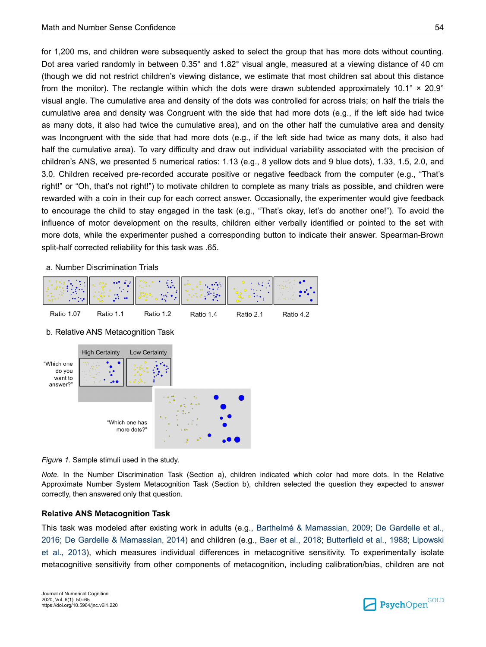<span id="page-4-0"></span>for 1,200 ms, and children were subsequently asked to select the group that has more dots without counting. Dot area varied randomly in between 0.35° and 1.82° visual angle, measured at a viewing distance of 40 cm (though we did not restrict children's viewing distance, we estimate that most children sat about this distance from the monitor). The rectangle within which the dots were drawn subtended approximately 10.1°  $\times$  20.9° visual angle. The cumulative area and density of the dots was controlled for across trials; on half the trials the cumulative area and density was Congruent with the side that had more dots (e.g., if the left side had twice as many dots, it also had twice the cumulative area), and on the other half the cumulative area and density was Incongruent with the side that had more dots (e.g., if the left side had twice as many dots, it also had half the cumulative area). To vary difficulty and draw out individual variability associated with the precision of children's ANS, we presented 5 numerical ratios: 1.13 (e.g., 8 yellow dots and 9 blue dots), 1.33, 1.5, 2.0, and 3.0. Children received pre-recorded accurate positive or negative feedback from the computer (e.g., "That's right!" or "Oh, that's not right!") to motivate children to complete as many trials as possible, and children were rewarded with a coin in their cup for each correct answer. Occasionally, the experimenter would give feedback to encourage the child to stay engaged in the task (e.g., "That's okay, let's do another one!"). To avoid the influence of motor development on the results, children either verbally identified or pointed to the set with more dots, while the experimenter pushed a corresponding button to indicate their answer. Spearman-Brown split-half corrected reliability for this task was .65.

a. Number Discrimination Trials







*Figure 1.* Sample stimuli used in the study.

*Note.* In the Number Discrimination Task (Section a), children indicated which color had more dots. In the Relative Approximate Number System Metacognition Task (Section b), children selected the question they expected to answer correctly, then answered only that question.

### **Relative ANS Metacognition Task**

This task was modeled after existing work in adults (e.g., [Barthelmé & Mamassian, 2009](#page-12-0); [De Gardelle et al.,](#page-12-0) [2016](#page-12-0); [De Gardelle & Mamassian, 2014\)](#page-12-0) and children (e.g., [Baer et al., 2018](#page-12-0); [Butterfield et al., 1988;](#page-12-0) [Lipowski](#page-13-0) [et al., 2013\)](#page-13-0), which measures individual differences in metacognitive sensitivity. To experimentally isolate metacognitive sensitivity from other components of metacognition, including calibration/bias, children are not

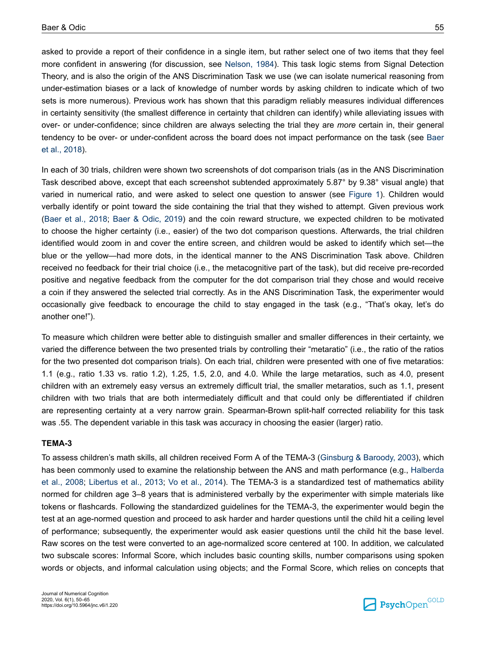asked to provide a report of their confidence in a single item, but rather select one of two items that they feel more confident in answering (for discussion, see [Nelson, 1984](#page-14-0)). This task logic stems from Signal Detection Theory, and is also the origin of the ANS Discrimination Task we use (we can isolate numerical reasoning from under-estimation biases or a lack of knowledge of number words by asking children to indicate which of two sets is more numerous). Previous work has shown that this paradigm reliably measures individual differences in certainty sensitivity (the smallest difference in certainty that children can identify) while alleviating issues with over- or under-confidence; since children are always selecting the trial they are *more* certain in, their general tendency to be over- or under-confident across the board does not impact performance on the task (see [Baer](#page-12-0) [et al., 2018\)](#page-12-0).

In each of 30 trials, children were shown two screenshots of dot comparison trials (as in the ANS Discrimination Task described above, except that each screenshot subtended approximately 5.87° by 9.38° visual angle) that varied in numerical ratio, and were asked to select one question to answer (see [Figure 1\)](#page-4-0). Children would verbally identify or point toward the side containing the trial that they wished to attempt. Given previous work [\(Baer et al., 2018;](#page-12-0) [Baer & Odic, 2019\)](#page-12-0) and the coin reward structure, we expected children to be motivated to choose the higher certainty (i.e., easier) of the two dot comparison questions. Afterwards, the trial children identified would zoom in and cover the entire screen, and children would be asked to identify which set—the blue or the yellow—had more dots, in the identical manner to the ANS Discrimination Task above. Children received no feedback for their trial choice (i.e., the metacognitive part of the task), but did receive pre-recorded positive and negative feedback from the computer for the dot comparison trial they chose and would receive a coin if they answered the selected trial correctly. As in the ANS Discrimination Task, the experimenter would occasionally give feedback to encourage the child to stay engaged in the task (e.g., "That's okay, let's do another one!").

To measure which children were better able to distinguish smaller and smaller differences in their certainty, we varied the difference between the two presented trials by controlling their "metaratio" (i.e., the ratio of the ratios for the two presented dot comparison trials). On each trial, children were presented with one of five metaratios: 1.1 (e.g., ratio 1.33 vs. ratio 1.2), 1.25, 1.5, 2.0, and 4.0. While the large metaratios, such as 4.0, present children with an extremely easy versus an extremely difficult trial, the smaller metaratios, such as 1.1, present children with two trials that are both intermediately difficult and that could only be differentiated if children are representing certainty at a very narrow grain. Spearman-Brown split-half corrected reliability for this task was .55. The dependent variable in this task was accuracy in choosing the easier (larger) ratio.

#### **TEMA-3**

To assess children's math skills, all children received Form A of the TEMA-3 ([Ginsburg & Baroody, 2003\)](#page-13-0), which has been commonly used to examine the relationship between the ANS and math performance (e.g., [Halberda](#page-13-0) [et al., 2008;](#page-13-0) [Libertus et al., 2013;](#page-13-0) [Vo et al., 2014](#page-15-0)). The TEMA-3 is a standardized test of mathematics ability normed for children age 3–8 years that is administered verbally by the experimenter with simple materials like tokens or flashcards. Following the standardized guidelines for the TEMA-3, the experimenter would begin the test at an age-normed question and proceed to ask harder and harder questions until the child hit a ceiling level of performance; subsequently, the experimenter would ask easier questions until the child hit the base level. Raw scores on the test were converted to an age-normalized score centered at 100. In addition, we calculated two subscale scores: Informal Score, which includes basic counting skills, number comparisons using spoken words or objects, and informal calculation using objects; and the Formal Score, which relies on concepts that

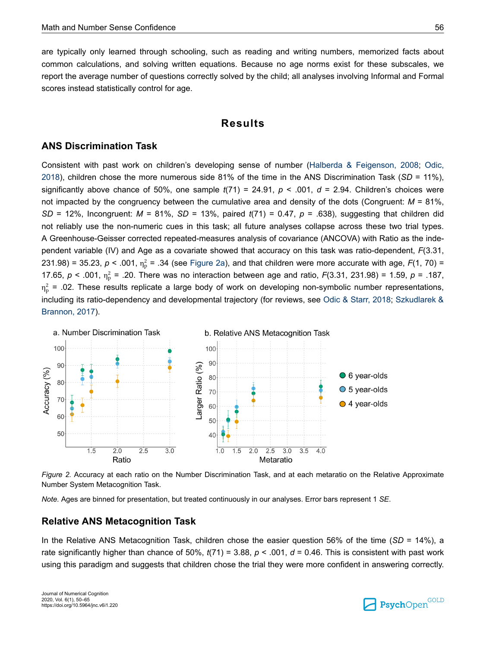<span id="page-6-0"></span>are typically only learned through schooling, such as reading and writing numbers, memorized facts about common calculations, and solving written equations. Because no age norms exist for these subscales, we report the average number of questions correctly solved by the child; all analyses involving Informal and Formal scores instead statistically control for age.

### **Results**

### **ANS Discrimination Task**

Consistent with past work on children's developing sense of number [\(Halberda & Feigenson, 2008](#page-13-0); [Odic,](#page-14-0) [2018](#page-14-0)), children chose the more numerous side 81% of the time in the ANS Discrimination Task (*SD* = 11%), significantly above chance of 50%, one sample  $t(71) = 24.91$ ,  $p < .001$ ,  $d = 2.94$ . Children's choices were not impacted by the congruency between the cumulative area and density of the dots (Congruent:  $M = 81\%$ , *SD* = 12%, Incongruent: *M* = 81%, *SD* = 13%, paired *t*(71) = 0.47, *p* = .638), suggesting that children did not reliably use the non-numeric cues in this task; all future analyses collapse across these two trial types. A Greenhouse-Geisser corrected repeated-measures analysis of covariance (ANCOVA) with Ratio as the independent variable (IV) and Age as a covariate showed that accuracy on this task was ratio-dependent, *F*(3.31, 231.98) = 35.23,  $p < .001$ ,  $\eta_p^2$  = .34 (see Figure 2a), and that children were more accurate with age,  $F(1, 70)$  = 17.65,  $p < .001$ ,  $n_p^2 = .20$ . There was no interaction between age and ratio,  $F(3.31, 231.98) = 1.59$ ,  $p = .187$ ,  $\eta_{\rm p}^2$  = .02. These results replicate a large body of work on developing non-symbolic number representations, including its ratio-dependency and developmental trajectory (for reviews, see [Odic & Starr, 2018](#page-14-0); [Szkudlarek &](#page-14-0) [Brannon, 2017\)](#page-14-0).



*Figure 2.* Accuracy at each ratio on the Number Discrimination Task, and at each metaratio on the Relative Approximate Number System Metacognition Task.

*Note.* Ages are binned for presentation, but treated continuously in our analyses. Error bars represent 1 *SE*.

### **Relative ANS Metacognition Task**

In the Relative ANS Metacognition Task, children chose the easier question 56% of the time (*SD* = 14%), a rate significantly higher than chance of 50%, *t*(71) = 3.88, *p* < .001, *d* = 0.46. This is consistent with past work using this paradigm and suggests that children chose the trial they were more confident in answering correctly.

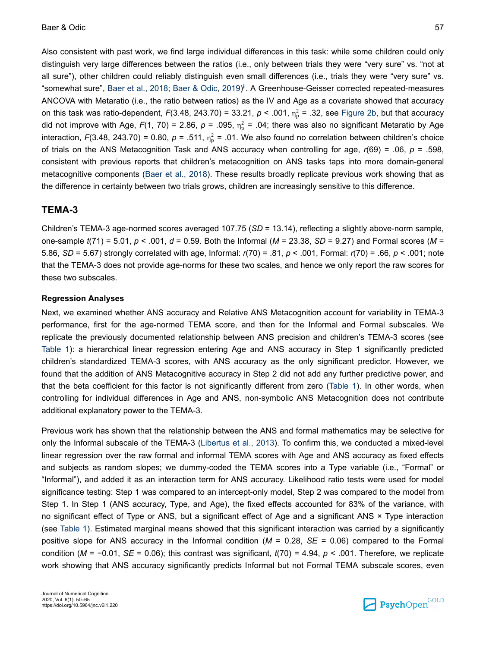Also consistent with past work, we find large individual differences in this task: while some children could only distinguish very large differences between the ratios (i.e., only between trials they were "very sure" vs. "not at all sure"), other children could reliably distinguish even small differences (i.e., trials they were "very sure" vs. "somewhat sure", [Baer et al., 2018](#page-12-0); [Baer & Odic, 2019\)](#page-12-0) [ii](#page-11-0). A Greenhouse-Geisser corrected repeated-measures ANCOVA with Metaratio (i.e., the ratio between ratios) as the IV and Age as a covariate showed that accuracy on this task was ratio-dependent,  $F(3.48, 243.70)$  = 33.21,  $p < .001$ ,  $\eta_p^2$  = .32, see [Figure 2b](#page-6-0), but that accuracy did not improve with Age,  $F(1, 70) = 2.86$ ,  $p = .095$ ,  $\eta_p^2 = .04$ ; there was also no significant Metaratio by Age interaction, F(3.48, 243.70) = 0.80,  $p = .511$ ,  $n_p^2 = .01$ . We also found no correlation between children's choice of trials on the ANS Metacognition Task and ANS accuracy when controlling for age, *r*(69) = .06, *p* = .598, consistent with previous reports that children's metacognition on ANS tasks taps into more domain-general metacognitive components ([Baer et al., 2018](#page-12-0)). These results broadly replicate previous work showing that as the difference in certainty between two trials grows, children are increasingly sensitive to this difference.

#### **TEMA-3**

Children's TEMA-3 age-normed scores averaged 107.75 (*SD* = 13.14), reflecting a slightly above-norm sample, one-sample *t*(71) = 5.01, *p* < .001, *d* = 0.59. Both the Informal (*M =* 23.38, *SD* = 9.27) and Formal scores (*M* = 5.86, *SD* = 5.67) strongly correlated with age, Informal: *r*(70) = .81, *p* < .001, Formal: *r*(70) = .66, *p* < .001; note that the TEMA-3 does not provide age-norms for these two scales, and hence we only report the raw scores for these two subscales.

#### **Regression Analyses**

Next, we examined whether ANS accuracy and Relative ANS Metacognition account for variability in TEMA-3 performance, first for the age-normed TEMA score, and then for the Informal and Formal subscales. We replicate the previously documented relationship between ANS precision and children's TEMA-3 scores (see [Table 1](#page-8-0)): a hierarchical linear regression entering Age and ANS accuracy in Step 1 significantly predicted children's standardized TEMA-3 scores, with ANS accuracy as the only significant predictor. However, we found that the addition of ANS Metacognitive accuracy in Step 2 did not add any further predictive power, and that the beta coefficient for this factor is not significantly different from zero [\(Table 1](#page-8-0)). In other words, when controlling for individual differences in Age and ANS, non-symbolic ANS Metacognition does not contribute additional explanatory power to the TEMA-3.

Previous work has shown that the relationship between the ANS and formal mathematics may be selective for only the Informal subscale of the TEMA-3 [\(Libertus et al., 2013](#page-13-0)). To confirm this, we conducted a mixed-level linear regression over the raw formal and informal TEMA scores with Age and ANS accuracy as fixed effects and subjects as random slopes; we dummy-coded the TEMA scores into a Type variable (i.e., "Formal" or "Informal"), and added it as an interaction term for ANS accuracy. Likelihood ratio tests were used for model significance testing: Step 1 was compared to an intercept-only model, Step 2 was compared to the model from Step 1. In Step 1 (ANS accuracy, Type, and Age), the fixed effects accounted for 83% of the variance, with no significant effect of Type or ANS, but a significant effect of Age and a significant ANS × Type interaction (see [Table 1\)](#page-8-0). Estimated marginal means showed that this significant interaction was carried by a significantly positive slope for ANS accuracy in the Informal condition (*M* = 0.28, *SE* = 0.06) compared to the Formal condition (*M* = −0.01, *SE* = 0.06); this contrast was significant, *t*(70) = 4.94, *p* < .001. Therefore, we replicate work showing that ANS accuracy significantly predicts Informal but not Formal TEMA subscale scores, even

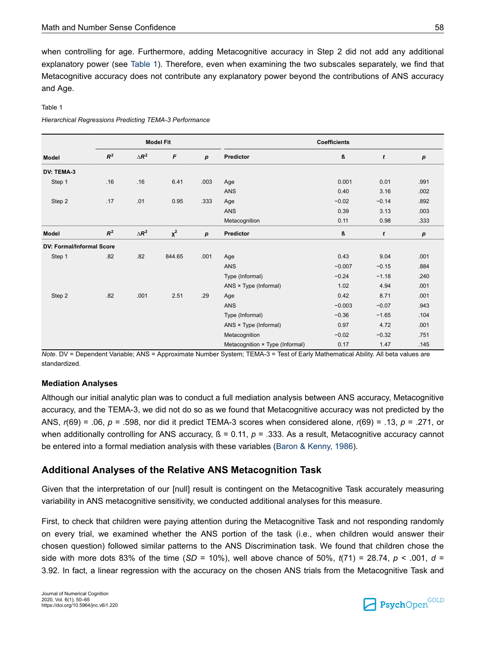<span id="page-8-0"></span>when controlling for age. Furthermore, adding Metacognitive accuracy in Step 2 did not add any additional explanatory power (see Table 1). Therefore, even when examining the two subscales separately, we find that Metacognitive accuracy does not contribute any explanatory power beyond the contributions of ANS accuracy and Age.

#### Table 1

*Hierarchical Regressions Predicting TEMA-3 Performance*

|                           | <b>Model Fit</b> |              |                           |                  | <b>Coefficients</b>             |          |         |      |
|---------------------------|------------------|--------------|---------------------------|------------------|---------------------------------|----------|---------|------|
| Model                     | $R^2$            | $\Delta R^2$ | $\boldsymbol{\mathsf{F}}$ | $\boldsymbol{p}$ | Predictor                       | ß        | t       | p    |
| DV: TEMA-3                |                  |              |                           |                  |                                 |          |         |      |
| Step 1                    | .16              | .16          | 6.41                      | .003             | Age                             | 0.001    | 0.01    | .991 |
|                           |                  |              |                           |                  | ANS                             | 0.40     | 3.16    | .002 |
| Step 2                    | .17              | .01          | 0.95                      | .333             | Age                             | $-0.02$  | $-0.14$ | .892 |
|                           |                  |              |                           |                  | ANS                             | 0.39     | 3.13    | .003 |
|                           |                  |              |                           |                  | Metacognition                   | 0.11     | 0.98    | .333 |
| Model                     | $R^2$            | $\Delta R^2$ | $\chi^2$                  | $\boldsymbol{p}$ | Predictor                       | ß        | t       | р    |
| DV: Formal/Informal Score |                  |              |                           |                  |                                 |          |         |      |
| Step 1                    | .82              | .82          | 844.65                    | .001             | Age                             | 0.43     | 9.04    | .001 |
|                           |                  |              |                           |                  | ANS                             | $-0.007$ | $-0.15$ | .884 |
|                           |                  |              |                           |                  | Type (Informal)                 | $-0.24$  | $-1.18$ | .240 |
|                           |                  |              |                           |                  | ANS × Type (Informal)           | 1.02     | 4.94    | .001 |
| Step 2                    | .82              | .001         | 2.51                      | .29              | Age                             | 0.42     | 8.71    | .001 |
|                           |                  |              |                           |                  | ANS                             | $-0.003$ | $-0.07$ | .943 |
|                           |                  |              |                           |                  | Type (Informal)                 | $-0.36$  | $-1.65$ | .104 |
|                           |                  |              |                           |                  | ANS × Type (Informal)           | 0.97     | 4.72    | .001 |
|                           |                  |              |                           |                  | Metacognition                   | $-0.02$  | $-0.32$ | .751 |
|                           |                  |              |                           |                  | Metacognition × Type (Informal) | 0.17     | 1.47    | .145 |

*Note*. DV = Dependent Variable; ANS = Approximate Number System; TEMA-3 = Test of Early Mathematical Ability. All beta values are standardized.

### **Mediation Analyses**

Although our initial analytic plan was to conduct a full mediation analysis between ANS accuracy, Metacognitive accuracy, and the TEMA-3, we did not do so as we found that Metacognitive accuracy was not predicted by the ANS, *r*(69) = .06, *p* = .598, nor did it predict TEMA-3 scores when considered alone, *r*(69) = .13, *p* = .271, or when additionally controlling for ANS accuracy,  $\beta$  = 0.11,  $p$  = .333. As a result, Metacognitive accuracy cannot be entered into a formal mediation analysis with these variables [\(Baron & Kenny, 1986\)](#page-12-0).

### **Additional Analyses of the Relative ANS Metacognition Task**

Given that the interpretation of our [null] result is contingent on the Metacognitive Task accurately measuring variability in ANS metacognitive sensitivity, we conducted additional analyses for this measure.

First, to check that children were paying attention during the Metacognitive Task and not responding randomly on every trial, we examined whether the ANS portion of the task (i.e., when children would answer their chosen question) followed similar patterns to the ANS Discrimination task. We found that children chose the side with more dots 83% of the time (*SD* = 10%), well above chance of 50%,  $t(71) = 28.74$ ,  $p < .001$ ,  $d =$ 3.92. In fact, a linear regression with the accuracy on the chosen ANS trials from the Metacognitive Task and

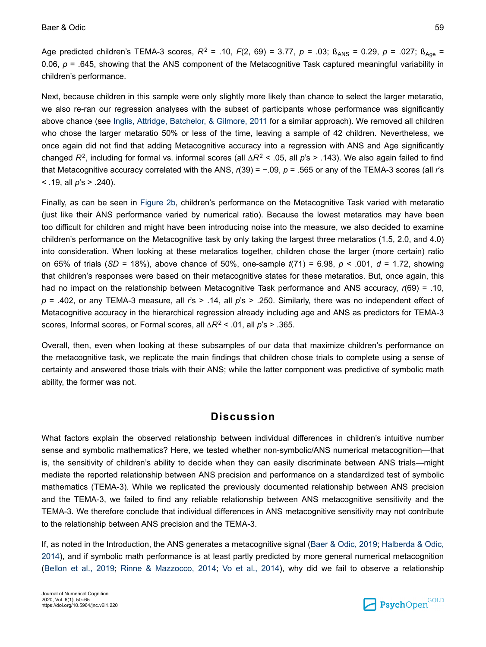Age predicted children's TEMA-3 scores,  $R^2$  = .10,  $F(2, 69)$  = 3.77,  $p$  = .03;  $B_{ANS}$  = 0.29,  $p$  = .027;  $B_{Age}$  = 0.06,  $p = 0.645$ , showing that the ANS component of the Metacognitive Task captured meaningful variability in children's performance.

Next, because children in this sample were only slightly more likely than chance to select the larger metaratio, we also re-ran our regression analyses with the subset of participants whose performance was significantly above chance (see [Inglis, Attridge, Batchelor, & Gilmore, 2011](#page-13-0) for a similar approach). We removed all children who chose the larger metaratio 50% or less of the time, leaving a sample of 42 children. Nevertheless, we once again did not find that adding Metacognitive accuracy into a regression with ANS and Age significantly changed *R*<sup>2</sup> , including for formal vs. informal scores (all ∆*R*<sup>2</sup> < .05, all *p*'s > .143). We also again failed to find that Metacognitive accuracy correlated with the ANS, *r*(39) = −.09, *p* = .565 or any of the TEMA-3 scores (all *r*'s < .19, all *p*'s > .240).

Finally, as can be seen in [Figure 2b](#page-6-0), children's performance on the Metacognitive Task varied with metaratio (just like their ANS performance varied by numerical ratio). Because the lowest metaratios may have been too difficult for children and might have been introducing noise into the measure, we also decided to examine children's performance on the Metacognitive task by only taking the largest three metaratios (1.5, 2.0, and 4.0) into consideration. When looking at these metaratios together, children chose the larger (more certain) ratio on 65% of trials (*SD* = 18%), above chance of 50%, one-sample *t*(71) = 6.98, *p* < .001, *d* = 1.72, showing that children's responses were based on their metacognitive states for these metaratios. But, once again, this had no impact on the relationship between Metacognitive Task performance and ANS accuracy, *r*(69) = .10, *p* = .402, or any TEMA-3 measure, all *r*'s > .14, all *p*'s > .250. Similarly, there was no independent effect of Metacognitive accuracy in the hierarchical regression already including age and ANS as predictors for TEMA-3 scores, Informal scores, or Formal scores, all ∆*R*<sup>2</sup> < .01, all *p*'s > .365.

Overall, then, even when looking at these subsamples of our data that maximize children's performance on the metacognitive task, we replicate the main findings that children chose trials to complete using a sense of certainty and answered those trials with their ANS; while the latter component was predictive of symbolic math ability, the former was not.

### **Discussion**

What factors explain the observed relationship between individual differences in children's intuitive number sense and symbolic mathematics? Here, we tested whether non-symbolic/ANS numerical metacognition—that is, the sensitivity of children's ability to decide when they can easily discriminate between ANS trials—might mediate the reported relationship between ANS precision and performance on a standardized test of symbolic mathematics (TEMA-3). While we replicated the previously documented relationship between ANS precision and the TEMA-3, we failed to find any reliable relationship between ANS metacognitive sensitivity and the TEMA-3. We therefore conclude that individual differences in ANS metacognitive sensitivity may not contribute to the relationship between ANS precision and the TEMA-3.

If, as noted in the Introduction, the ANS generates a metacognitive signal ([Baer & Odic, 2019;](#page-12-0) [Halberda & Odic,](#page-13-0) [2014](#page-13-0)), and if symbolic math performance is at least partly predicted by more general numerical metacognition [\(Bellon et al., 2019](#page-12-0); [Rinne & Mazzocco, 2014](#page-14-0); [Vo et al., 2014\)](#page-15-0), why did we fail to observe a relationship

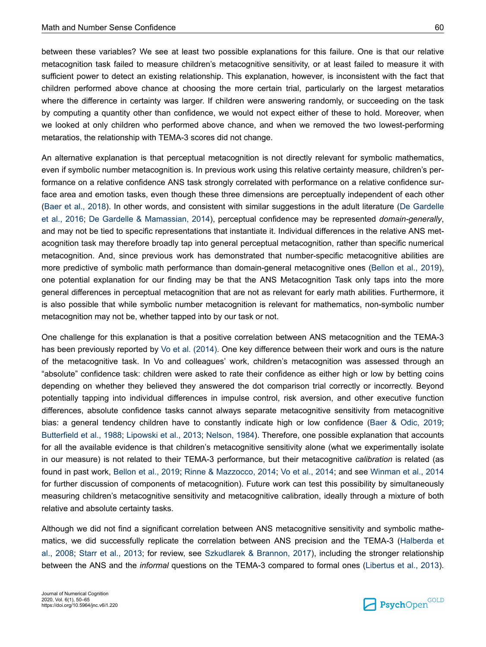between these variables? We see at least two possible explanations for this failure. One is that our relative metacognition task failed to measure children's metacognitive sensitivity, or at least failed to measure it with sufficient power to detect an existing relationship. This explanation, however, is inconsistent with the fact that children performed above chance at choosing the more certain trial, particularly on the largest metaratios where the difference in certainty was larger. If children were answering randomly, or succeeding on the task by computing a quantity other than confidence, we would not expect either of these to hold. Moreover, when we looked at only children who performed above chance, and when we removed the two lowest-performing metaratios, the relationship with TEMA-3 scores did not change.

An alternative explanation is that perceptual metacognition is not directly relevant for symbolic mathematics, even if symbolic number metacognition is. In previous work using this relative certainty measure, children's performance on a relative confidence ANS task strongly correlated with performance on a relative confidence surface area and emotion tasks, even though these three dimensions are perceptually independent of each other [\(Baer et al., 2018](#page-12-0)). In other words, and consistent with similar suggestions in the adult literature [\(De Gardelle](#page-12-0) [et al., 2016](#page-12-0); [De Gardelle & Mamassian, 2014\)](#page-12-0), perceptual confidence may be represented *domain-generally*, and may not be tied to specific representations that instantiate it. Individual differences in the relative ANS metacognition task may therefore broadly tap into general perceptual metacognition, rather than specific numerical metacognition. And, since previous work has demonstrated that number-specific metacognitive abilities are more predictive of symbolic math performance than domain-general metacognitive ones [\(Bellon et al., 2019](#page-12-0)), one potential explanation for our finding may be that the ANS Metacognition Task only taps into the more general differences in perceptual metacognition that are not as relevant for early math abilities. Furthermore, it is also possible that while symbolic number metacognition is relevant for mathematics, non-symbolic number metacognition may not be, whether tapped into by our task or not.

One challenge for this explanation is that a positive correlation between ANS metacognition and the TEMA-3 has been previously reported by [Vo et al. \(2014\).](#page-15-0) One key difference between their work and ours is the nature of the metacognitive task. In Vo and colleagues' work, children's metacognition was assessed through an "absolute" confidence task: children were asked to rate their confidence as either high or low by betting coins depending on whether they believed they answered the dot comparison trial correctly or incorrectly. Beyond potentially tapping into individual differences in impulse control, risk aversion, and other executive function differences, absolute confidence tasks cannot always separate metacognitive sensitivity from metacognitive bias: a general tendency children have to constantly indicate high or low confidence ([Baer & Odic, 2019](#page-12-0); [Butterfield et al., 1988](#page-12-0); [Lipowski et al., 2013;](#page-13-0) [Nelson, 1984](#page-14-0)). Therefore, one possible explanation that accounts for all the available evidence is that children's metacognitive sensitivity alone (what we experimentally isolate in our measure) is not related to their TEMA-3 performance, but their metacognitive *calibration* is related (as found in past work, [Bellon et al., 2019](#page-12-0); [Rinne & Mazzocco, 2014](#page-14-0); [Vo et al., 2014](#page-15-0); and see [Winman et al., 2014](#page-15-0) for further discussion of components of metacognition). Future work can test this possibility by simultaneously measuring children's metacognitive sensitivity and metacognitive calibration, ideally through a mixture of both relative and absolute certainty tasks.

Although we did not find a significant correlation between ANS metacognitive sensitivity and symbolic mathematics, we did successfully replicate the correlation between ANS precision and the TEMA-3 ([Halberda et](#page-13-0) [al., 2008](#page-13-0); [Starr et al., 2013](#page-14-0); for review, see [Szkudlarek & Brannon, 2017\)](#page-14-0), including the stronger relationship between the ANS and the *informal* questions on the TEMA-3 compared to formal ones [\(Libertus et al., 2013](#page-13-0)).

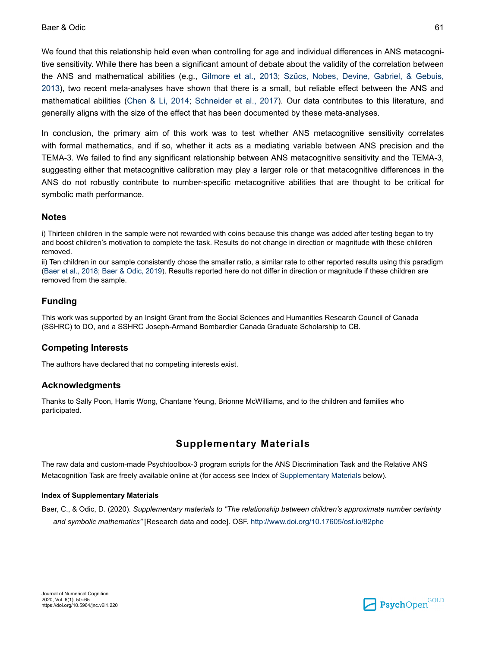<span id="page-11-0"></span>We found that this relationship held even when controlling for age and individual differences in ANS metacognitive sensitivity. While there has been a significant amount of debate about the validity of the correlation between the ANS and mathematical abilities (e.g., [Gilmore et al., 2013;](#page-12-0) [Szűcs, Nobes, Devine, Gabriel, & Gebuis,](#page-15-0) [2013](#page-15-0)), two recent meta-analyses have shown that there is a small, but reliable effect between the ANS and mathematical abilities ([Chen & Li, 2014;](#page-12-0) [Schneider et al., 2017\)](#page-14-0). Our data contributes to this literature, and generally aligns with the size of the effect that has been documented by these meta-analyses.

In conclusion, the primary aim of this work was to test whether ANS metacognitive sensitivity correlates with formal mathematics, and if so, whether it acts as a mediating variable between ANS precision and the TEMA-3. We failed to find any significant relationship between ANS metacognitive sensitivity and the TEMA-3, suggesting either that metacognitive calibration may play a larger role or that metacognitive differences in the ANS do not robustly contribute to number-specific metacognitive abilities that are thought to be critical for symbolic math performance.

### **Notes**

i) Thirteen children in the sample were not rewarded with coins because this change was added after testing began to try and boost children's motivation to complete the task. Results do not change in direction or magnitude with these children removed.

ii) Ten children in our sample consistently chose the smaller ratio, a similar rate to other reported results using this paradigm [\(Baer et al., 2018](#page-12-0); [Baer & Odic, 2019\)](#page-12-0). Results reported here do not differ in direction or magnitude if these children are removed from the sample.

### **Funding**

This work was supported by an Insight Grant from the Social Sciences and Humanities Research Council of Canada (SSHRC) to DO, and a SSHRC Joseph-Armand Bombardier Canada Graduate Scholarship to CB.

### **Competing Interests**

The authors have declared that no competing interests exist.

### **Acknowledgments**

Thanks to Sally Poon, Harris Wong, Chantane Yeung, Brionne McWilliams, and to the children and families who participated.

### **Supplementary Materials**

The raw data and custom-made Psychtoolbox-3 program scripts for the ANS Discrimination Task and the Relative ANS Metacognition Task are freely available online at (for access see Index of Supplementary Materials below).

#### **Index of Supplementary Materials**

Baer, C., & Odic, D. (2020). *Supplementary materials to "The relationship between children's approximate number certainty and symbolic mathematics"* [Research data and code]. OSF. <http://www.doi.org/10.17605/osf.io/82phe>

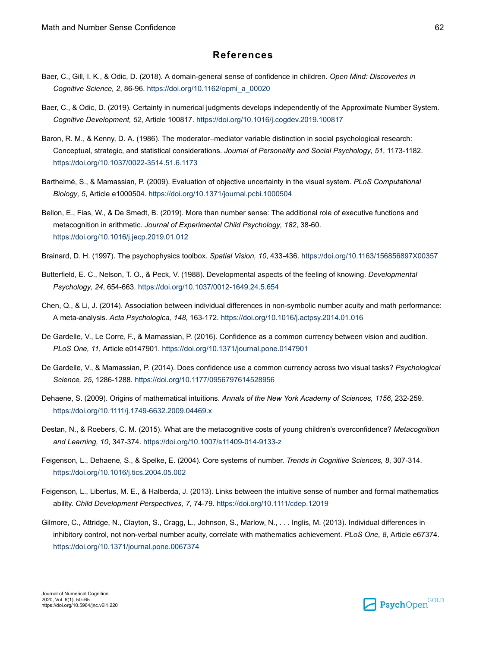### **References**

- <span id="page-12-0"></span>Baer, C., Gill, I. K., & Odic, D. (2018). A domain-general sense of confidence in children. *Open Mind: Discoveries in Cognitive Science, 2*, 86-96. [https://doi.org/10.1162/opmi\\_a\\_00020](https://doi.org/10.1162%2Fopmi_a_00020)
- Baer, C., & Odic, D. (2019). Certainty in numerical judgments develops independently of the Approximate Number System. *Cognitive Development, 52*, Article 100817. [https://doi.org/10.1016/j.cogdev.2019.100817](https://doi.org/10.1016%2Fj.cogdev.2019.100817)
- Baron, R. M., & Kenny, D. A. (1986). The moderator–mediator variable distinction in social psychological research: Conceptual, strategic, and statistical considerations. *Journal of Personality and Social Psychology, 51*, 1173-1182. [https://doi.org/10.1037/0022-3514.51.6.1173](https://doi.org/10.1037%2F0022-3514.51.6.1173)
- Barthelmé, S., & Mamassian, P. (2009). Evaluation of objective uncertainty in the visual system. *PLoS Computational Biology, 5*, Article e1000504. [https://doi.org/10.1371/journal.pcbi.1000504](https://doi.org/10.1371%2Fjournal.pcbi.1000504)
- Bellon, E., Fias, W., & De Smedt, B. (2019). More than number sense: The additional role of executive functions and metacognition in arithmetic. *Journal of Experimental Child Psychology, 182*, 38-60. [https://doi.org/10.1016/j.jecp.2019.01.012](https://doi.org/10.1016%2Fj.jecp.2019.01.012)
- Brainard, D. H. (1997). The psychophysics toolbox. *Spatial Vision, 10*, 433-436. [https://doi.org/10.1163/156856897X00357](https://doi.org/10.1163%2F156856897X00357)
- Butterfield, E. C., Nelson, T. O., & Peck, V. (1988). Developmental aspects of the feeling of knowing. *Developmental Psychology, 24*, 654-663. [https://doi.org/10.1037/0012-1649.24.5.654](https://doi.org/10.1037%2F0012-1649.24.5.654)
- Chen, Q., & Li, J. (2014). Association between individual differences in non-symbolic number acuity and math performance: A meta-analysis. *Acta Psychologica, 148*, 163-172. [https://doi.org/10.1016/j.actpsy.2014.01.016](https://doi.org/10.1016%2Fj.actpsy.2014.01.016)
- De Gardelle, V., Le Corre, F., & Mamassian, P. (2016). Confidence as a common currency between vision and audition. *PLoS One, 11*, Article e0147901. [https://doi.org/10.1371/journal.pone.0147901](https://doi.org/10.1371%2Fjournal.pone.0147901)
- De Gardelle, V., & Mamassian, P. (2014). Does confidence use a common currency across two visual tasks? *Psychological Science, 25*, 1286-1288. [https://doi.org/10.1177/0956797614528956](https://doi.org/10.1177%2F0956797614528956)
- Dehaene, S. (2009). Origins of mathematical intuitions. *Annals of the New York Academy of Sciences, 1156*, 232-259. [https://doi.org/10.1111/j.1749-6632.2009.04469.x](https://doi.org/10.1111%2Fj.1749-6632.2009.04469.x)
- Destan, N., & Roebers, C. M. (2015). What are the metacognitive costs of young children's overconfidence? *Metacognition and Learning, 10*, 347-374. [https://doi.org/10.1007/s11409-014-9133-z](https://doi.org/10.1007%2Fs11409-014-9133-z)
- Feigenson, L., Dehaene, S., & Spelke, E. (2004). Core systems of number. *Trends in Cognitive Sciences, 8*, 307-314. [https://doi.org/10.1016/j.tics.2004.05.002](https://doi.org/10.1016%2Fj.tics.2004.05.002)
- Feigenson, L., Libertus, M. E., & Halberda, J. (2013). Links between the intuitive sense of number and formal mathematics ability. *Child Development Perspectives, 7*, 74-79. [https://doi.org/10.1111/cdep.12019](https://doi.org/10.1111%2Fcdep.12019)
- Gilmore, C., Attridge, N., Clayton, S., Cragg, L., Johnson, S., Marlow, N., . . . Inglis, M. (2013). Individual differences in inhibitory control, not non-verbal number acuity, correlate with mathematics achievement. *PLoS One, 8*, Article e67374. [https://doi.org/10.1371/journal.pone.0067374](https://doi.org/10.1371%2Fjournal.pone.0067374)

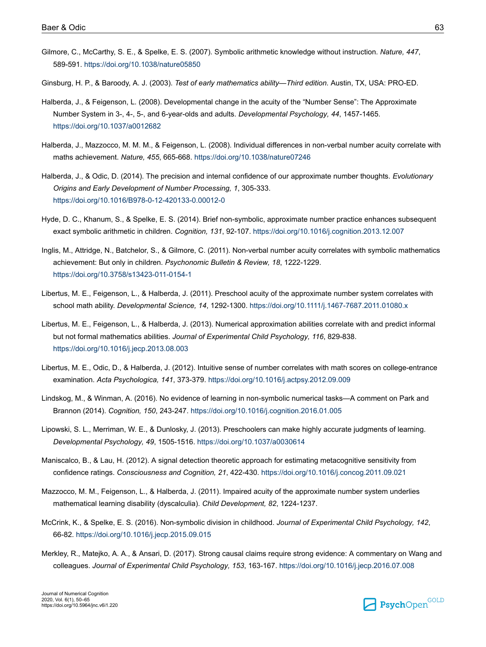- <span id="page-13-0"></span>Gilmore, C., McCarthy, S. E., & Spelke, E. S. (2007). Symbolic arithmetic knowledge without instruction. *Nature, 447*, 589-591. [https://doi.org/10.1038/nature05850](https://doi.org/10.1038%2Fnature05850)
- Ginsburg, H. P., & Baroody, A. J. (2003). *Test of early mathematics ability—Third edition.* Austin, TX, USA: PRO-ED.
- Halberda, J., & Feigenson, L. (2008). Developmental change in the acuity of the "Number Sense": The Approximate Number System in 3-, 4-, 5-, and 6-year-olds and adults. *Developmental Psychology, 44*, 1457-1465. [https://doi.org/10.1037/a0012682](https://doi.org/10.1037%2Fa0012682)
- Halberda, J., Mazzocco, M. M. M., & Feigenson, L. (2008). Individual differences in non-verbal number acuity correlate with maths achievement. *Nature, 455*, 665-668. [https://doi.org/10.1038/nature07246](https://doi.org/10.1038%2Fnature07246)
- Halberda, J., & Odic, D. (2014). The precision and internal confidence of our approximate number thoughts. *Evolutionary Origins and Early Development of Number Processing, 1*, 305-333. [https://doi.org/10.1016/B978-0-12-420133-0.00012-0](https://doi.org/10.1016%2FB978-0-12-420133-0.00012-0)
- Hyde, D. C., Khanum, S., & Spelke, E. S. (2014). Brief non-symbolic, approximate number practice enhances subsequent exact symbolic arithmetic in children. *Cognition, 131*, 92-107. [https://doi.org/10.1016/j.cognition.2013.12.007](https://doi.org/10.1016%2Fj.cognition.2013.12.007)
- Inglis, M., Attridge, N., Batchelor, S., & Gilmore, C. (2011). Non-verbal number acuity correlates with symbolic mathematics achievement: But only in children. *Psychonomic Bulletin & Review, 18*, 1222-1229. [https://doi.org/10.3758/s13423-011-0154-1](https://doi.org/10.3758%2Fs13423-011-0154-1)
- Libertus, M. E., Feigenson, L., & Halberda, J. (2011). Preschool acuity of the approximate number system correlates with school math ability. *Developmental Science, 14*, 1292-1300. [https://doi.org/10.1111/j.1467-7687.2011.01080.x](https://doi.org/10.1111%2Fj.1467-7687.2011.01080.x)
- Libertus, M. E., Feigenson, L., & Halberda, J. (2013). Numerical approximation abilities correlate with and predict informal but not formal mathematics abilities. *Journal of Experimental Child Psychology, 116*, 829-838. [https://doi.org/10.1016/j.jecp.2013.08.003](https://doi.org/10.1016%2Fj.jecp.2013.08.003)
- Libertus, M. E., Odic, D., & Halberda, J. (2012). Intuitive sense of number correlates with math scores on college-entrance examination. *Acta Psychologica, 141*, 373-379. [https://doi.org/10.1016/j.actpsy.2012.09.009](https://doi.org/10.1016%2Fj.actpsy.2012.09.009)
- Lindskog, M., & Winman, A. (2016). No evidence of learning in non-symbolic numerical tasks—A comment on Park and Brannon (2014). *Cognition, 150*, 243-247. [https://doi.org/10.1016/j.cognition.2016.01.005](https://doi.org/10.1016%2Fj.cognition.2016.01.005)
- Lipowski, S. L., Merriman, W. E., & Dunlosky, J. (2013). Preschoolers can make highly accurate judgments of learning. *Developmental Psychology, 49*, 1505-1516. [https://doi.org/10.1037/a0030614](https://doi.org/10.1037%2Fa0030614)
- Maniscalco, B., & Lau, H. (2012). A signal detection theoretic approach for estimating metacognitive sensitivity from confidence ratings. *Consciousness and Cognition, 21*, 422-430. [https://doi.org/10.1016/j.concog.2011.09.021](https://doi.org/10.1016%2Fj.concog.2011.09.021)
- Mazzocco, M. M., Feigenson, L., & Halberda, J. (2011). Impaired acuity of the approximate number system underlies mathematical learning disability (dyscalculia). *Child Development, 82*, 1224-1237.
- McCrink, K., & Spelke, E. S. (2016). Non-symbolic division in childhood. *Journal of Experimental Child Psychology, 142*, 66-82. [https://doi.org/10.1016/j.jecp.2015.09.015](https://doi.org/10.1016%2Fj.jecp.2015.09.015)
- Merkley, R., Matejko, A. A., & Ansari, D. (2017). Strong causal claims require strong evidence: A commentary on Wang and colleagues. *Journal of Experimental Child Psychology, 153*, 163-167. [https://doi.org/10.1016/j.jecp.2016.07.008](https://doi.org/10.1016%2Fj.jecp.2016.07.008)

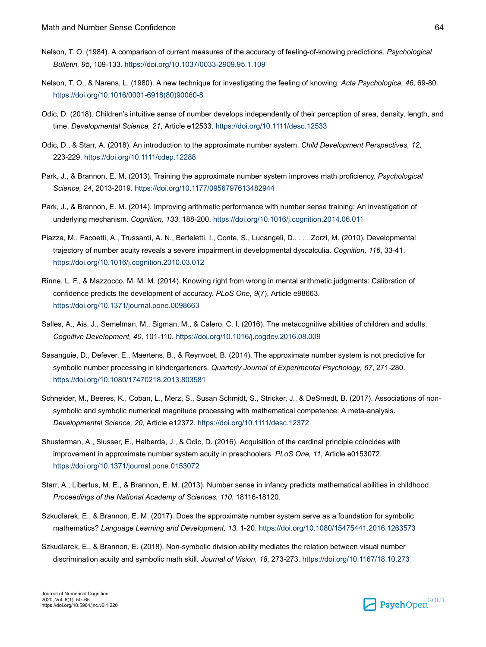- <span id="page-14-0"></span>Nelson, T. O. (1984). A comparison of current measures of the accuracy of feeling-of-knowing predictions. *Psychological Bulletin, 95*, 109-133. [https://doi.org/10.1037/0033-2909.95.1.109](https://doi.org/10.1037%2F0033-2909.95.1.109)
- Nelson, T. O., & Narens, L. (1980). A new technique for investigating the feeling of knowing. *Acta Psychologica, 46*, 69-80. [https://doi.org/10.1016/0001-6918\(80\)90060-8](https://doi.org/10.1016%2F0001-6918%2880%2990060-8)
- Odic, D. (2018). Children's intuitive sense of number develops independently of their perception of area, density, length, and time. *Developmental Science, 21*, Article e12533. [https://doi.org/10.1111/desc.12533](https://doi.org/10.1111%2Fdesc.12533)
- Odic, D., & Starr, A. (2018). An introduction to the approximate number system. *Child Development Perspectives, 12*, 223-229. [https://doi.org/10.1111/cdep.12288](https://doi.org/10.1111%2Fcdep.12288)
- Park, J., & Brannon, E. M. (2013). Training the approximate number system improves math proficiency. *Psychological Science, 24*, 2013-2019. [https://doi.org/10.1177/0956797613482944](https://doi.org/10.1177%2F0956797613482944)
- Park, J., & Brannon, E. M. (2014). Improving arithmetic performance with number sense training: An investigation of underlying mechanism. *Cognition, 133*, 188-200. [https://doi.org/10.1016/j.cognition.2014.06.011](https://doi.org/10.1016%2Fj.cognition.2014.06.011)
- Piazza, M., Facoetti, A., Trussardi, A. N., Berteletti, I., Conte, S., Lucangeli, D., . . . Zorzi, M. (2010). Developmental trajectory of number acuity reveals a severe impairment in developmental dyscalculia. *Cognition, 116*, 33-41. [https://doi.org/10.1016/j.cognition.2010.03.012](https://doi.org/10.1016%2Fj.cognition.2010.03.012)
- Rinne, L. F., & Mazzocco, M. M. M. (2014). Knowing right from wrong in mental arithmetic judgments: Calibration of confidence predicts the development of accuracy. *PLoS One, 9*(7), Article e98663. [https://doi.org/10.1371/journal.pone.0098663](https://doi.org/10.1371%2Fjournal.pone.0098663)
- Salles, A., Ais, J., Semelman, M., Sigman, M., & Calero, C. I. (2016). The metacognitive abilities of children and adults. *Cognitive Development, 40*, 101-110. [https://doi.org/10.1016/j.cogdev.2016.08.009](https://doi.org/10.1016%2Fj.cogdev.2016.08.009)
- Sasanguie, D., Defever, E., Maertens, B., & Reynvoet, B. (2014). The approximate number system is not predictive for symbolic number processing in kindergarteners. *Quarterly Journal of Experimental Psychology, 67*, 271-280. [https://doi.org/10.1080/17470218.2013.803581](https://doi.org/10.1080%2F17470218.2013.803581)
- Schneider, M., Beeres, K., Coban, L., Merz, S., Susan Schmidt, S., Stricker, J., & DeSmedt, B. (2017). Associations of nonsymbolic and symbolic numerical magnitude processing with mathematical competence: A meta-analysis. *Developmental Science, 20*, Article e12372. [https://doi.org/10.1111/desc.12372](https://doi.org/10.1111%2Fdesc.12372)
- Shusterman, A., Slusser, E., Halberda, J., & Odic, D. (2016). Acquisition of the cardinal principle coincides with improvement in approximate number system acuity in preschoolers. *PLoS One, 11*, Article e0153072. [https://doi.org/10.1371/journal.pone.0153072](https://doi.org/10.1371%2Fjournal.pone.0153072)
- Starr, A., Libertus, M. E., & Brannon, E. M. (2013). Number sense in infancy predicts mathematical abilities in childhood. *Proceedings of the National Academy of Sciences, 110*, 18116-18120.
- Szkudlarek, E., & Brannon, E. M. (2017). Does the approximate number system serve as a foundation for symbolic mathematics? *Language Learning and Development, 13*, 1-20. [https://doi.org/10.1080/15475441.2016.1263573](https://doi.org/10.1080%2F15475441.2016.1263573)
- Szkudlarek, E., & Brannon, E. (2018). Non-symbolic division ability mediates the relation between visual number discrimination acuity and symbolic math skill. *Journal of Vision, 18*, 273-273. [https://doi.org/10.1167/18.10.273](https://doi.org/10.1167%2F18.10.273)